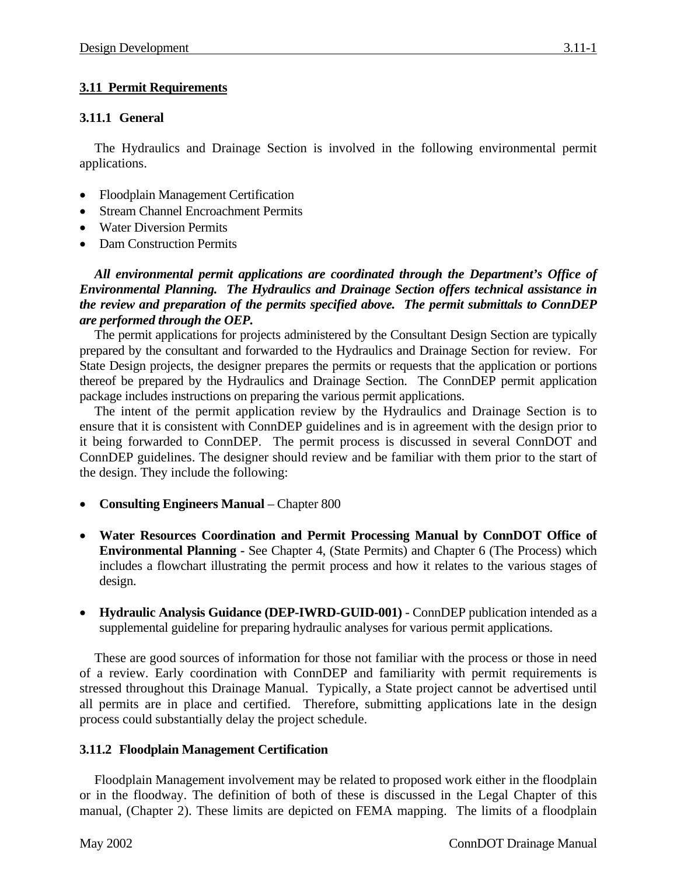# **3.11.1 General**

The Hydraulics and Drainage Section is involved in the following environmental permit applications.

- Floodplain Management Certification
- Stream Channel Encroachment Permits
- Water Diversion Permits
- Dam Construction Permits

*All environmental permit applications are coordinated through the Department's Office of Environmental Planning. The Hydraulics and Drainage Section offers technical assistance in the review and preparation of the permits specified above. The permit submittals to ConnDEP are performed through the OEP.*

The permit applications for projects administered by the Consultant Design Section are typically prepared by the consultant and forwarded to the Hydraulics and Drainage Section for review. For State Design projects, the designer prepares the permits or requests that the application or portions thereof be prepared by the Hydraulics and Drainage Section. The ConnDEP permit application package includes instructions on preparing the various permit applications.

The intent of the permit application review by the Hydraulics and Drainage Section is to ensure that it is consistent with ConnDEP guidelines and is in agreement with the design prior to it being forwarded to ConnDEP. The permit process is discussed in several ConnDOT and ConnDEP guidelines. The designer should review and be familiar with them prior to the start of the design. They include the following:

- **Consulting Engineers Manual**  Chapter 800
- **Water Resources Coordination and Permit Processing Manual by ConnDOT Office of Environmental Planning -** See Chapter 4, (State Permits) and Chapter 6 (The Process) which includes a flowchart illustrating the permit process and how it relates to the various stages of design.
- **Hydraulic Analysis Guidance (DEP-IWRD-GUID-001)** ConnDEP publication intended as a supplemental guideline for preparing hydraulic analyses for various permit applications.

These are good sources of information for those not familiar with the process or those in need of a review. Early coordination with ConnDEP and familiarity with permit requirements is stressed throughout this Drainage Manual. Typically, a State project cannot be advertised until all permits are in place and certified. Therefore, submitting applications late in the design process could substantially delay the project schedule.

# **3.11.2 Floodplain Management Certification**

Floodplain Management involvement may be related to proposed work either in the floodplain or in the floodway. The definition of both of these is discussed in the Legal Chapter of this manual, (Chapter 2). These limits are depicted on FEMA mapping. The limits of a floodplain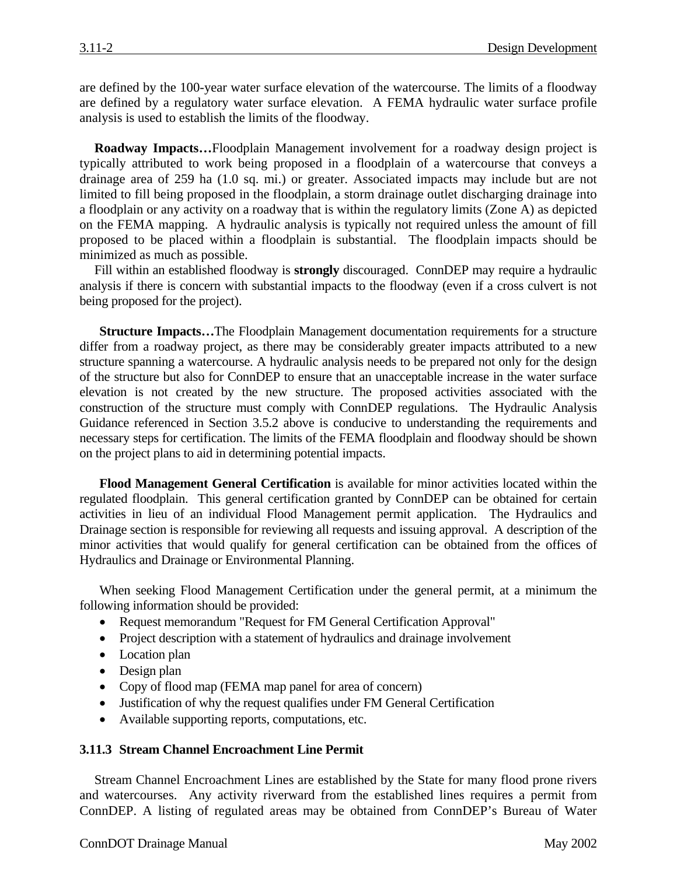are defined by the 100-year water surface elevation of the watercourse. The limits of a floodway are defined by a regulatory water surface elevation. A FEMA hydraulic water surface profile analysis is used to establish the limits of the floodway.

**Roadway Impacts…**Floodplain Management involvement for a roadway design project is typically attributed to work being proposed in a floodplain of a watercourse that conveys a drainage area of 259 ha (1.0 sq. mi.) or greater. Associated impacts may include but are not limited to fill being proposed in the floodplain, a storm drainage outlet discharging drainage into a floodplain or any activity on a roadway that is within the regulatory limits (Zone A) as depicted on the FEMA mapping. A hydraulic analysis is typically not required unless the amount of fill proposed to be placed within a floodplain is substantial. The floodplain impacts should be minimized as much as possible.

Fill within an established floodway is **strongly** discouraged. ConnDEP may require a hydraulic analysis if there is concern with substantial impacts to the floodway (even if a cross culvert is not being proposed for the project).

**Structure Impacts…**The Floodplain Management documentation requirements for a structure differ from a roadway project, as there may be considerably greater impacts attributed to a new structure spanning a watercourse. A hydraulic analysis needs to be prepared not only for the design of the structure but also for ConnDEP to ensure that an unacceptable increase in the water surface elevation is not created by the new structure. The proposed activities associated with the construction of the structure must comply with ConnDEP regulations. The Hydraulic Analysis Guidance referenced in Section 3.5.2 above is conducive to understanding the requirements and necessary steps for certification. The limits of the FEMA floodplain and floodway should be shown on the project plans to aid in determining potential impacts.

**Flood Management General Certification** is available for minor activities located within the regulated floodplain. This general certification granted by ConnDEP can be obtained for certain activities in lieu of an individual Flood Management permit application. The Hydraulics and Drainage section is responsible for reviewing all requests and issuing approval. A description of the minor activities that would qualify for general certification can be obtained from the offices of Hydraulics and Drainage or Environmental Planning.

When seeking Flood Management Certification under the general permit, at a minimum the following information should be provided:

- Request memorandum "Request for FM General Certification Approval"
- Project description with a statement of hydraulics and drainage involvement
- Location plan
- Design plan
- Copy of flood map (FEMA map panel for area of concern)
- Justification of why the request qualifies under FM General Certification
- Available supporting reports, computations, etc.

### **3.11.3 Stream Channel Encroachment Line Permit**

Stream Channel Encroachment Lines are established by the State for many flood prone rivers and watercourses. Any activity riverward from the established lines requires a permit from ConnDEP. A listing of regulated areas may be obtained from ConnDEP's Bureau of Water